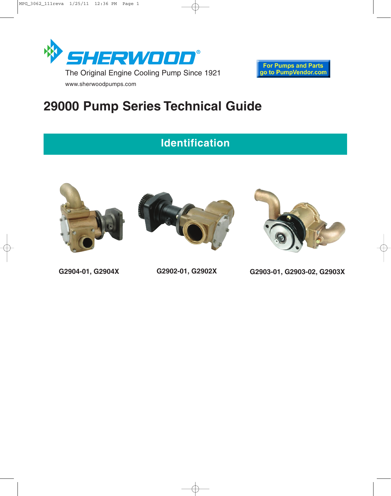

# **29000 Pump Series Technical Guide**

## **Identification**







**G2904-01, G2904X G2902-01, G2902X G2903-01, G2903-02, G2903X**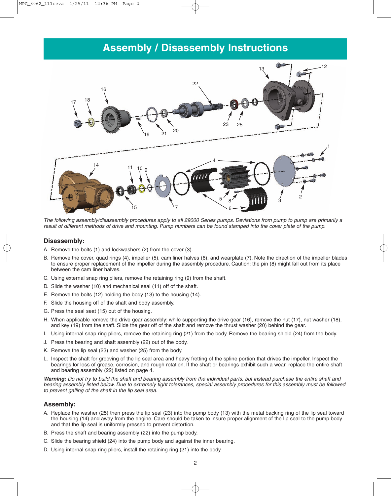### **Assembly / Disassembly Instructions**



The following assembly/disassembly procedures apply to all 29000 Series pumps. Deviations from pump to pump are primarily a result of different methods of drive and mounting. Pump numbers can be found stamped into the cover plate of the pump.

#### **Disassembly:**

- A. Remove the bolts (1) and lockwashers (2) from the cover (3).
- B. Remove the cover, quad rings (4), impeller (5), cam liner halves (6), and wearplate (7). Note the direction of the impeller blades to ensure proper replacement of the impeller during the assembly procedure. Caution: the pin (8) might fall out from its place between the cam liner halves.
- C. Using external snap ring pliers, remove the retaining ring (9) from the shaft.
- D. Slide the washer (10) and mechanical seal (11) off of the shaft.
- E. Remove the bolts (12) holding the body (13) to the housing (14).
- F. Slide the housing off of the shaft and body assembly.
- G. Press the seal seat (15) out of the housing.
- H. When applicable remove the drive gear assembly: while supporting the drive gear (16), remove the nut (17), nut washer (18), and key (19) from the shaft. Slide the gear off of the shaft and remove the thrust washer (20) behind the gear.
- I. Using internal snap ring pliers, remove the retaining ring (21) from the body. Remove the bearing shield (24) from the body.
- J. Press the bearing and shaft assembly (22) out of the body.
- K. Remove the lip seal (23) and washer (25) from the body.
- L. Inspect the shaft for grooving of the lip seal area and heavy fretting of the spline portion that drives the impeller. Inspect the bearings for loss of grease, corrosion, and rough rotation. If the shaft or bearings exhibit such a wear, replace the entire shaft and bearing assembly (22) listed on page 4.

**Warning:** Do not try to build the shaft and bearing assembly from the individual parts, but instead purchase the entire shaft and bearing assembly listed below. Due to extremely tight tolerances, special assembly procedures for this assembly must be followed to prevent galling of the shaft in the lip seal area.

#### **Assembly:**

- A. Replace the washer (25) then press the lip seal (23) into the pump body (13) with the metal backing ring of the lip seal toward the housing (14) and away from the engine. Care should be taken to insure proper alignment of the lip seal to the pump body and that the lip seal is uniformly pressed to prevent distortion.
- B. Press the shaft and bearing assembly (22) into the pump body.
- C. Slide the bearing shield (24) into the pump body and against the inner bearing.
- D. Using internal snap ring pliers, install the retaining ring (21) into the body.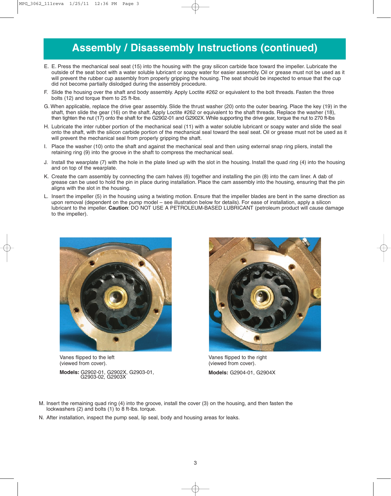## **Assembly / Disassembly Instructions (continued)**

- E. E. Press the mechanical seal seat (15) into the housing with the gray silicon carbide face toward the impeller. Lubricate the outside of the seat boot with a water soluble lubricant or soapy water for easier assembly. Oil or grease must not be used as it will prevent the rubber cup assembly from properly gripping the housing. The seat should be inspected to ensue that the cup did not become partially dislodged during the assembly procedure.
- F. Slide the housing over the shaft and body assembly. Apply Loctite #262 or equivalent to the bolt threads. Fasten the three bolts (12) and torque them to 25 ft-lbs.
- G. When applicable, replace the drive gear assembly. Slide the thrust washer (20) onto the outer bearing. Place the key (19) in the shaft, then slide the gear (16) on the shaft. Apply Loctite #262 or equivalent to the shaft threads. Replace the washer (18), then tighten the nut (17) onto the shaft for the G2902-01 and G2902X. While supporting the drive gear, torque the nut to 270 ft-lbs
- H. Lubricate the inter rubber portion of the mechanical seal (11) with a water soluble lubricant or soapy water and slide the seal onto the shaft, with the silicon carbide portion of the mechanical seal toward the seal seat. Oil or grease must not be used as it will prevent the mechanical seal from properly gripping the shaft.
- I. Place the washer (10) onto the shaft and against the mechanical seal and then using external snap ring pliers, install the retaining ring (9) into the groove in the shaft to compress the mechanical seal.
- J. Install the wearplate (7) with the hole in the plate lined up with the slot in the housing. Install the quad ring (4) into the housing and on top of the wearplate.
- K. Create the cam assembly by connecting the cam halves (6) together and installing the pin (8) into the cam liner. A dab of grease can be used to hold the pin in place during installation. Place the cam assembly into the housing, ensuring that the pin aligns with the slot in the housing.
- L. Insert the impeller (5) in the housing using a twisting motion. Ensure that the impeller blades are bent in the same direction as upon removal (dependent on the pump model – see illustration below for details). For ease of installation, apply a silicon lubricant to the impeller. **Caution**: DO NOT USE A PETROLEUM-BASED LUBRICANT (petroleum product will cause damage to the impeller).



Vanes flipped to the left (viewed from cover).

**Models:** G2902-01, G2902X, G2903-01, G2903-02, G2903X



Vanes flipped to the right (viewed from cover). **Models:** G2904-01, G2904X

- M. Insert the remaining quad ring (4) into the groove, install the cover (3) on the housing, and then fasten the lockwashers (2) and bolts (1) to 8 ft-lbs. torque.
- N. After installation, inspect the pump seal, lip seal, body and housing areas for leaks.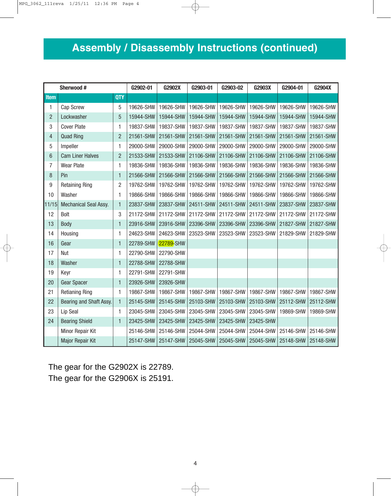# **Assembly / Disassembly Instructions (continued)**

| Sherwood #      |                         |                | G2902-01  | G2902X    | G2903-01  | G2903-02  | G2903X    | G2904-01  | G2904X    |
|-----------------|-------------------------|----------------|-----------|-----------|-----------|-----------|-----------|-----------|-----------|
| <b>Item</b>     |                         | <b>QTY</b>     |           |           |           |           |           |           |           |
| 1               | Cap Screw               | 5              | 19626-SHW | 19626-SHW | 19626-SHW | 19626-SHW | 19626-SHW | 19626-SHW | 19626-SHW |
| $\overline{2}$  | Lockwasher              | 5              | 15944-SHW | 15944-SHW | 15944-SHW | 15944-SHW | 15944-SHW | 15944-SHW | 15944-SHW |
| 3               | <b>Cover Plate</b>      | 1              | 19837-SHW | 19837-SHW | 19837-SHW | 19837-SHW | 19837-SHW | 19837-SHW | 19837-SHW |
| $\overline{4}$  | <b>Quad Ring</b>        | $\overline{2}$ | 21561-SHW | 21561-SHW | 21561-SHW | 21561-SHW | 21561-SHW | 21561-SHW | 21561-SHW |
| 5               | Impeller                | 1              | 29000-SHW | 29000-SHW | 29000-SHW | 29000-SHW | 29000-SHW | 29000-SHW | 29000-SHW |
| $6\phantom{1}6$ | <b>Cam Liner Halves</b> | $\overline{2}$ | 21533-SHW | 21533-SHW | 21106-SHW | 21106-SHW | 21106-SHW | 21106-SHW | 21106-SHW |
| $\overline{7}$  | <b>Wear Plate</b>       | $\mathbf{1}$   | 19836-SHW | 19836-SHW | 19836-SHW | 19836-SHW | 19836-SHW | 19836-SHW | 19836-SHW |
| 8               | Pin                     | $\mathbf{1}$   | 21566-SHW | 21566-SHW | 21566-SHW | 21566-SHW | 21566-SHW | 21566-SHW | 21566-SHW |
| 9               | <b>Retaining Ring</b>   | $\overline{2}$ | 19762-SHW | 19762-SHW | 19762-SHW | 19762-SHW | 19762-SHW | 19762-SHW | 19762-SHW |
| 10              | Washer                  | 1              | 19866-SHW | 19866-SHW | 19866-SHW | 19866-SHW | 19866-SHW | 19866-SHW | 19866-SHW |
| 11/15           | Mechanical Seal Assy.   | 1              | 23837-SHW | 23837-SHW | 24511-SHW | 24511-SHW | 24511-SHW | 23837-SHW | 23837-SHW |
| 12              | Bolt                    | 3              | 21172-SHW | 21172-SHW | 21172-SHW | 21172-SHW | 21172-SHW | 21172-SHW | 21172-SHW |
| 13              | Body                    | $\mathbf{1}$   | 23916-SHW | 23916-SHW | 23396-SHW | 23396-SHW | 23396-SHW | 21827-SHW | 21827-SHW |
| 14              | Housing                 | 1              | 24623-SHW | 24623-SHW | 23523-SHW | 23523-SHW | 23523-SHW | 21829-SHW | 21829-SHW |
| 16              | Gear                    | 1              | 22789-SHW | 22789-SHW |           |           |           |           |           |
| 17              | Nut                     | 1              | 22790-SHW | 22790-SHW |           |           |           |           |           |
| 18              | Washer                  | 1              | 22788-SHW | 22788-SHW |           |           |           |           |           |
| 19              | Keyr                    | 1              | 22791-SHW | 22791-SHW |           |           |           |           |           |
| 20              | <b>Gear Spacer</b>      | 1              | 23926-SHW | 23926-SHW |           |           |           |           |           |
| 21              | <b>Retianing Ring</b>   | 1              | 19867-SHW | 19867-SHW | 19867-SHW | 19867-SHW | 19867-SHW | 19867-SHW | 19867-SHW |
| 22              | Bearing and Shaft Assy. | $\mathbf{1}$   | 25145-SHW | 25145-SHW | 25103-SHW | 25103-SHW | 25103-SHW | 25112-SHW | 25112-SHW |
| 23              | Lip Seal                | 1              | 23045-SHW | 23045-SHW | 23045-SHW | 23045-SHW | 23045-SHW | 19869-SHW | 19869-SHW |
| 24              | <b>Bearing Shield</b>   | $\mathbf{1}$   | 23425-SHW | 23425-SHW | 23425-SHW | 23425-SHW | 23425-SHW |           |           |
|                 | Minor Repair Kit        |                | 25146-SHW | 25146-SHW | 25044-SHW | 25044-SHW | 25044-SHW | 25146-SHW | 25146-SHW |
|                 | <b>Major Repair Kit</b> |                | 25147-SHW | 25147-SHW | 25045-SHW | 25045-SHW | 25045-SHW | 25148-SHW | 25148-SHW |

The gear for the G2902X is 22789. The gear for the G2906X is 25191.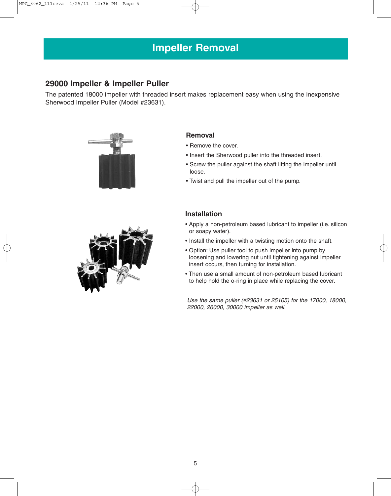### **29000 Impeller & Impeller Puller**

The patented 18000 impeller with threaded insert makes replacement easy when using the inexpensive Sherwood Impeller Puller (Model #23631).



#### **Removal**

- Remove the cover.
- Insert the Sherwood puller into the threaded insert.
- Screw the puller against the shaft lifting the impeller until loose.
- Twist and pull the impeller out of the pump.



#### **Installation**

- Apply a non-petroleum based lubricant to impeller (i.e. silicon or soapy water).
- Install the impeller with a twisting motion onto the shaft.
- Option: Use puller tool to push impeller into pump by loosening and lowering nut until tightening against impeller insert occurs, then turning for installation.
- Then use a small amount of non-petroleum based lubricant to help hold the o-ring in place while replacing the cover.

Use the same puller (#23631 or 25105) for the 17000, 18000, 22000, 26000, 30000 impeller as well.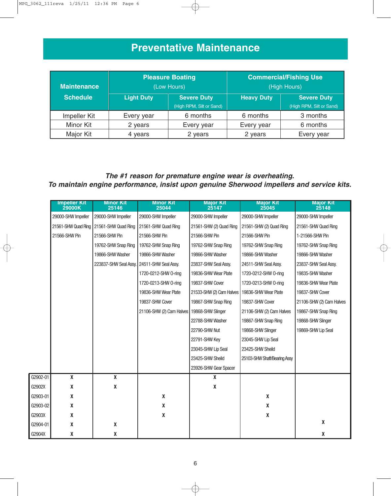## **Preventative Maintenance**

| <b>Maintenance</b> |                   | <b>Pleasure Boating</b><br>(Low Hours) | <b>Commercial/Fishing Use</b><br>(High Hours) |                          |  |
|--------------------|-------------------|----------------------------------------|-----------------------------------------------|--------------------------|--|
| <b>Schedule</b>    | <b>Light Duty</b> | <b>Severe Duty</b>                     | <b>Heavy Duty</b>                             | <b>Severe Duty</b>       |  |
|                    |                   | (High RPM, Silt or Sand)               |                                               | (High RPM, Silt or Sand) |  |
| Impeller Kit       | Every year        | 6 months                               | 6 months                                      | 3 months                 |  |
| <b>Minor Kit</b>   | 2 years           | Every year                             | Every year                                    | 6 months                 |  |
| Major Kit          | 4 years           | 2 years                                | 2 years                                       | Every year               |  |

### **The #1 reason for premature engine wear is overheating. To maintain engine performance, insist upon genuine Sherwood impellers and service kits.**

|          | <b>Impeller Kit</b><br>29000K | <b>Minor Kit</b><br>25146                  | <b>Minor Kit</b><br>25044 | <b>Major Kit</b><br>25147                       | <b>Major Kit</b><br>25045    | <b>Major Kit</b><br>25148 |
|----------|-------------------------------|--------------------------------------------|---------------------------|-------------------------------------------------|------------------------------|---------------------------|
|          | 29000-SHW Impeller            | 29000-SHW Impeller                         | 29000-SHW Impeller        | 29000-SHW Impeller                              | 29000-SHW Impeller           | 29000-SHW Impeller        |
|          | 21561-SHW Quad Ring           | 21561-SHW Quad Ring                        | 21561-SHW Quad Ring       | 21561-SHW (2) Quad Ring                         | 21561-SHW (2) Quad Ring      | 21561-SHW Quad Ring       |
|          | 21566-SHW Pin                 | 21566-SHW Pin                              | 21566-SHW Pin             | 21566-SHW Pin                                   | 21566-SHW Pin                | 1-21566-SHW Pin           |
|          |                               | 19762-SHW Snap Ring                        | 19762-SHW Snap Ring       | 19762-SHW Snap Ring                             | 19762-SHW Snap Ring          | 19762-SHW Snap Ring       |
|          |                               | 19866-SHW Washer                           | 19866-SHW Washer          | 19866-SHW Washer                                | 19866-SHW Washer             | 19866-SHW Washer          |
|          |                               | 223837-SHW Seal Assy. 24511-SHW Seal Assy. |                           | 23837-SHW Seal Assy.                            | 24511-SHW Seal Assy.         | 23837-SHW Seal Assy.      |
|          |                               |                                            | 1720-0212-SHW 0-ring      | 19836-SHW Wear Plate                            | 1720-0212-SHW 0-ring         | 19835-SHW Washer          |
|          |                               |                                            | 1720-0213-SHW 0-ring      | 19837-SHW Cover                                 | 1720-0213-SHW 0-ring         | 19836-SHW Wear Plate      |
|          |                               |                                            | 19836-SHW Wear Plate      | 21533-SHW (2) Cam Halves   19836-SHW Wear Plate |                              | 19837-SHW Cover           |
|          |                               |                                            | 19837-SHW Cover           | 19867-SHW Snap Ring                             | 19837-SHW Cover              | 21106-SHW (2) Cam Halves  |
|          |                               |                                            | 21106-SHW (2) Cam Halves  | 19868-SHW Slinger                               | 21106-SHW (2) Cam Halves     | 19867-SHW Snap Ring       |
|          |                               |                                            |                           | 22788-SHW Washer                                | 19867-SHW Snap Ring          | 19868-SHW Slinger         |
|          |                               |                                            |                           | 22790-SHW Nut                                   | 19868-SHW Slinger            | 19869-SHW Lip Seal        |
|          |                               |                                            |                           | 22791-SHW Key                                   | 23045-SHW Lip Seal           |                           |
|          |                               |                                            |                           | 23045-SHW Lip Seal                              | 23425-SHW Sheild             |                           |
|          |                               |                                            |                           | 23425-SHW Sheild                                | 25103-SHW Shaft/Bearing Assy |                           |
|          |                               |                                            |                           | 23926-SHW Gear Spacer                           |                              |                           |
| G2902-01 | $\mathbf x$                   | $\pmb{\mathsf{X}}$                         |                           | X                                               |                              |                           |
| G2902X   | X                             | X                                          |                           | X                                               |                              |                           |
| G2903-01 | X                             |                                            | $\pmb{\mathsf{X}}$        |                                                 | X                            |                           |
| G2903-02 | X                             |                                            | X                         |                                                 | $\pmb{\mathsf{X}}$           |                           |
| G2903X   | X                             |                                            | Χ                         |                                                 | $\pmb{\mathsf{X}}$           |                           |
| G2904-01 | χ                             | $\pmb{\mathsf{X}}$                         |                           |                                                 |                              | $\pmb{\mathsf{X}}$        |
| G2904X   | χ                             | χ                                          |                           |                                                 |                              | X                         |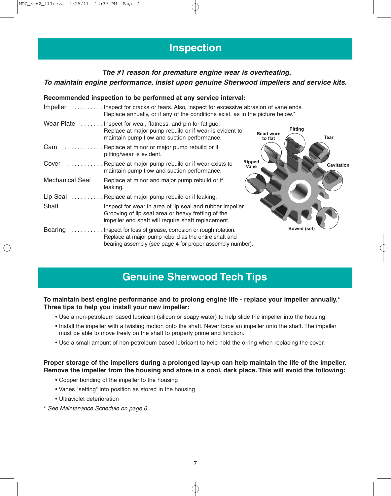### **Inspection**

### **The #1 reason for premature engine wear is overheating. To maintain engine performance, insist upon genuine Sherwood impellers and service kits.**

#### **Recommended inspection to be performed at any service interval:**

| Impeller               | Inspect for cracks or tears. Also, inspect for excessive abrasion of vane ends.<br>Replace annually, or if any of the conditions exist, as in the picture below.*              |                                                       |
|------------------------|--------------------------------------------------------------------------------------------------------------------------------------------------------------------------------|-------------------------------------------------------|
|                        | Wear Plate  Inspect for wear, flatness, and pin for fatigue.<br>Replace at major pump rebuild or if wear is evident to<br>maintain pump flow and suction performance.          | <b>Pitting</b><br><b>Bead worn</b><br>Tear<br>to flat |
| Cam<br>.               | Replace at minor or major pump rebuild or if<br>pitting/wear is evident.                                                                                                       |                                                       |
| Cover                  | <b>Ripped</b><br>Replace at major pump rebuild or if wear exists to<br>Vane<br>maintain pump flow and suction performance.                                                     | <b>Cavitation</b>                                     |
| <b>Mechanical Seal</b> | Replace at minor and major pump rebuild or if<br>leaking.                                                                                                                      |                                                       |
|                        | Lip Seal Replace at major pump rebuild or if leaking.                                                                                                                          |                                                       |
| Shaft                  | Inspect for wear in area of lip seal and rubber impeller.<br>Grooving of lip seal area or heavy fretting of the<br>impeller end shaft will require shaft replacement.          |                                                       |
| Bearing                | Inspect for loss of grease, corrosion or rough rotation.<br>Replace at major pump rebuild as the entire shaft and<br>bearing assembly (see page 4 for proper assembly number). | Bowed (set)                                           |

### **Genuine Sherwood Tech Tips**

#### **To maintain best engine performance and to prolong engine life - replace your impeller annually.\* Three tips to help you install your new impeller:**

- Use a non-petroleum based lubricant (silicon or soapy water) to help slide the impeller into the housing.
- Install the impeller with a twisting motion onto the shaft. Never force an impeller onto the shaft. The impeller must be able to move freely on the shaft to properly prime and function.
- Use a small amount of non-petroleum based lubricant to help hold the o-ring when replacing the cover.

#### **Proper storage of the impellers during a prolonged lay-up can help maintain the life of the impeller. Remove the impeller from the housing and store in a cool, dark place. This will avoid the following:**

- Copper bonding of the impeller to the housing
- Vanes "setting" into position as stored in the housing
- Ultraviolet deterioration
- \* See Maintenance Schedule on page 6